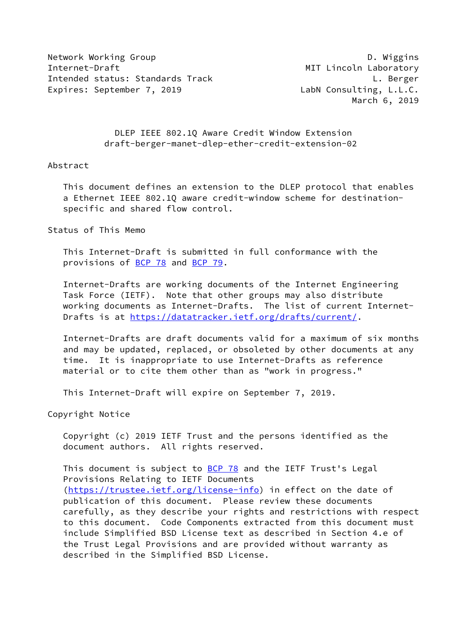Network Working Group **D. Wiggins** Internet-Draft MIT Lincoln Laboratory Intended status: Standards Track L. Berger Expires: September 7, 2019 LabN Consulting, L.L.C.

March 6, 2019

 DLEP IEEE 802.1Q Aware Credit Window Extension draft-berger-manet-dlep-ether-credit-extension-02

### Abstract

 This document defines an extension to the DLEP protocol that enables a Ethernet IEEE 802.1Q aware credit-window scheme for destination specific and shared flow control.

Status of This Memo

 This Internet-Draft is submitted in full conformance with the provisions of [BCP 78](https://datatracker.ietf.org/doc/pdf/bcp78) and [BCP 79](https://datatracker.ietf.org/doc/pdf/bcp79).

 Internet-Drafts are working documents of the Internet Engineering Task Force (IETF). Note that other groups may also distribute working documents as Internet-Drafts. The list of current Internet Drafts is at<https://datatracker.ietf.org/drafts/current/>.

 Internet-Drafts are draft documents valid for a maximum of six months and may be updated, replaced, or obsoleted by other documents at any time. It is inappropriate to use Internet-Drafts as reference material or to cite them other than as "work in progress."

This Internet-Draft will expire on September 7, 2019.

Copyright Notice

 Copyright (c) 2019 IETF Trust and the persons identified as the document authors. All rights reserved.

This document is subject to **[BCP 78](https://datatracker.ietf.org/doc/pdf/bcp78)** and the IETF Trust's Legal Provisions Relating to IETF Documents [\(https://trustee.ietf.org/license-info](https://trustee.ietf.org/license-info)) in effect on the date of publication of this document. Please review these documents carefully, as they describe your rights and restrictions with respect to this document. Code Components extracted from this document must include Simplified BSD License text as described in Section 4.e of the Trust Legal Provisions and are provided without warranty as described in the Simplified BSD License.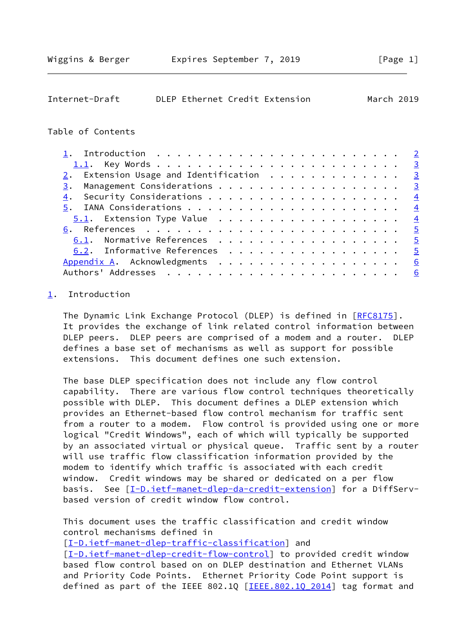<span id="page-1-1"></span>

| Internet-Draft |  | DLEP Ethernet Credit Extension | March 2019 |  |
|----------------|--|--------------------------------|------------|--|
|                |  |                                |            |  |

### Table of Contents

| 2. Extension Usage and Identification $\cdots$ 3 |                 |
|--------------------------------------------------|-----------------|
| Management Considerations 3<br>3.                |                 |
| 4.                                               |                 |
|                                                  |                 |
|                                                  |                 |
|                                                  |                 |
| 6.1. Normative References 5                      |                 |
| 6.2. Informative References 5                    |                 |
|                                                  | 6               |
|                                                  | $6\overline{6}$ |

# <span id="page-1-0"></span>[1](#page-1-0). Introduction

The Dynamic Link Exchange Protocol (DLEP) is defined in [\[RFC8175](https://datatracker.ietf.org/doc/pdf/rfc8175)]. It provides the exchange of link related control information between DLEP peers. DLEP peers are comprised of a modem and a router. DLEP defines a base set of mechanisms as well as support for possible extensions. This document defines one such extension.

 The base DLEP specification does not include any flow control capability. There are various flow control techniques theoretically possible with DLEP. This document defines a DLEP extension which provides an Ethernet-based flow control mechanism for traffic sent from a router to a modem. Flow control is provided using one or more logical "Credit Windows", each of which will typically be supported by an associated virtual or physical queue. Traffic sent by a router will use traffic flow classification information provided by the modem to identify which traffic is associated with each credit window. Credit windows may be shared or dedicated on a per flow basis. See [\[I-D.ietf-manet-dlep-da-credit-extension](#page-5-3)] for a DiffServbased version of credit window flow control.

 This document uses the traffic classification and credit window control mechanisms defined in

[\[I-D.ietf-manet-dlep-traffic-classification\]](#page-4-5) and [\[I-D.ietf-manet-dlep-credit-flow-control](#page-4-6)] to provided credit window based flow control based on on DLEP destination and Ethernet VLANs and Priority Code Points. Ethernet Priority Code Point support is defined as part of the IEEE 802.1Q  $[IEEE.802.10 2014]$  tag format and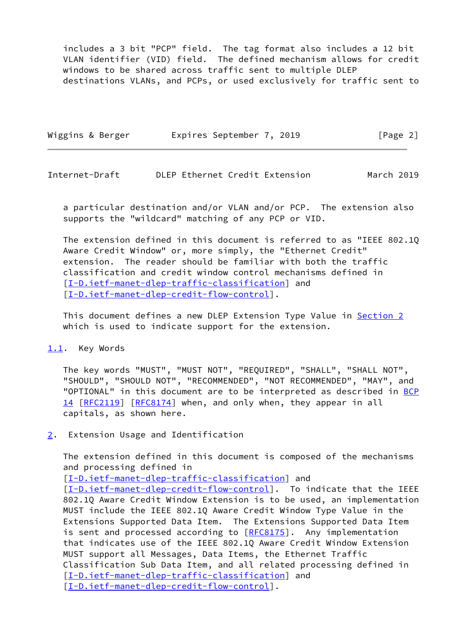includes a 3 bit "PCP" field. The tag format also includes a 12 bit VLAN identifier (VID) field. The defined mechanism allows for credit windows to be shared across traffic sent to multiple DLEP destinations VLANs, and PCPs, or used exclusively for traffic sent to

| Wiggins & Berger | Expires September 7, 2019 | [Page 2] |
|------------------|---------------------------|----------|
|                  |                           |          |

<span id="page-2-1"></span>Internet-Draft DLEP Ethernet Credit Extension March 2019

 a particular destination and/or VLAN and/or PCP. The extension also supports the "wildcard" matching of any PCP or VID.

 The extension defined in this document is referred to as "IEEE 802.1Q Aware Credit Window" or, more simply, the "Ethernet Credit" extension. The reader should be familiar with both the traffic classification and credit window control mechanisms defined in [\[I-D.ietf-manet-dlep-traffic-classification\]](#page-4-5) and [\[I-D.ietf-manet-dlep-credit-flow-control](#page-4-6)].

This document defines a new DLEP Extension Type Value in [Section 2](#page-2-2) which is used to indicate support for the extension.

#### <span id="page-2-0"></span>[1.1](#page-2-0). Key Words

 The key words "MUST", "MUST NOT", "REQUIRED", "SHALL", "SHALL NOT", "SHOULD", "SHOULD NOT", "RECOMMENDED", "NOT RECOMMENDED", "MAY", and "OPTIONAL" in this document are to be interpreted as described in [BCP](https://datatracker.ietf.org/doc/pdf/bcp14) [14](https://datatracker.ietf.org/doc/pdf/bcp14) [[RFC2119\]](https://datatracker.ietf.org/doc/pdf/rfc2119) [\[RFC8174](https://datatracker.ietf.org/doc/pdf/rfc8174)] when, and only when, they appear in all capitals, as shown here.

<span id="page-2-2"></span>[2](#page-2-2). Extension Usage and Identification

 The extension defined in this document is composed of the mechanisms and processing defined in

[\[I-D.ietf-manet-dlep-traffic-classification\]](#page-4-5) and

[\[I-D.ietf-manet-dlep-credit-flow-control](#page-4-6)]. To indicate that the IEEE 802.1Q Aware Credit Window Extension is to be used, an implementation MUST include the IEEE 802.1Q Aware Credit Window Type Value in the Extensions Supported Data Item. The Extensions Supported Data Item is sent and processed according to [[RFC8175\]](https://datatracker.ietf.org/doc/pdf/rfc8175). Any implementation that indicates use of the IEEE 802.1Q Aware Credit Window Extension MUST support all Messages, Data Items, the Ethernet Traffic Classification Sub Data Item, and all related processing defined in [\[I-D.ietf-manet-dlep-traffic-classification\]](#page-4-5) and [\[I-D.ietf-manet-dlep-credit-flow-control](#page-4-6)].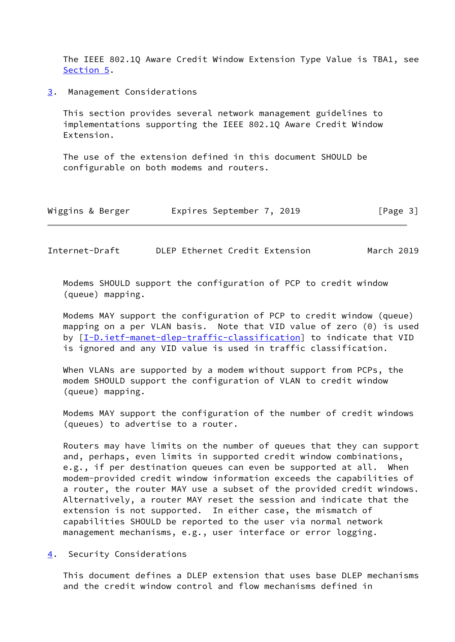The IEEE 802.1Q Aware Credit Window Extension Type Value is TBA1, see [Section 5](#page-4-0).

<span id="page-3-0"></span>[3](#page-3-0). Management Considerations

 This section provides several network management guidelines to implementations supporting the IEEE 802.1Q Aware Credit Window Extension.

 The use of the extension defined in this document SHOULD be configurable on both modems and routers.

| Wiggins & Berger | Expires September 7, 2019 |  | [Page 3] |
|------------------|---------------------------|--|----------|
|------------------|---------------------------|--|----------|

<span id="page-3-2"></span>Internet-Draft DLEP Ethernet Credit Extension March 2019

 Modems SHOULD support the configuration of PCP to credit window (queue) mapping.

 Modems MAY support the configuration of PCP to credit window (queue) mapping on a per VLAN basis. Note that VID value of zero (0) is used by [[I-D.ietf-manet-dlep-traffic-classification\]](#page-4-5) to indicate that VID is ignored and any VID value is used in traffic classification.

 When VLANs are supported by a modem without support from PCPs, the modem SHOULD support the configuration of VLAN to credit window (queue) mapping.

 Modems MAY support the configuration of the number of credit windows (queues) to advertise to a router.

 Routers may have limits on the number of queues that they can support and, perhaps, even limits in supported credit window combinations, e.g., if per destination queues can even be supported at all. When modem-provided credit window information exceeds the capabilities of a router, the router MAY use a subset of the provided credit windows. Alternatively, a router MAY reset the session and indicate that the extension is not supported. In either case, the mismatch of capabilities SHOULD be reported to the user via normal network management mechanisms, e.g., user interface or error logging.

<span id="page-3-1"></span>[4](#page-3-1). Security Considerations

 This document defines a DLEP extension that uses base DLEP mechanisms and the credit window control and flow mechanisms defined in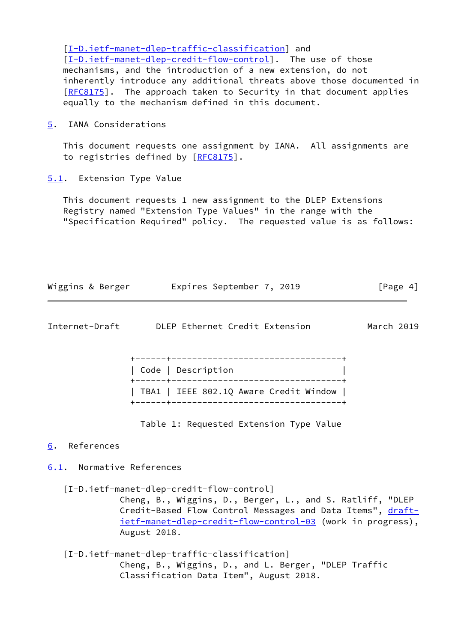[\[I-D.ietf-manet-dlep-traffic-classification\]](#page-4-5) and [\[I-D.ietf-manet-dlep-credit-flow-control](#page-4-6)]. The use of those mechanisms, and the introduction of a new extension, do not inherently introduce any additional threats above those documented in [\[RFC8175](https://datatracker.ietf.org/doc/pdf/rfc8175)]. The approach taken to Security in that document applies equally to the mechanism defined in this document.

<span id="page-4-0"></span>[5](#page-4-0). IANA Considerations

 This document requests one assignment by IANA. All assignments are to registries defined by [\[RFC8175](https://datatracker.ietf.org/doc/pdf/rfc8175)].

<span id="page-4-1"></span>[5.1](#page-4-1). Extension Type Value

 This document requests 1 new assignment to the DLEP Extensions Registry named "Extension Type Values" in the range with the "Specification Required" policy. The requested value is as follows:

| Wiggins & Berger | Expires September 7, 2019 |  | [Page 4] |
|------------------|---------------------------|--|----------|
|------------------|---------------------------|--|----------|

<span id="page-4-3"></span>

| Internet-Draft |  |  |  | DLEP Ethernet Credit Extension |  |
|----------------|--|--|--|--------------------------------|--|
|----------------|--|--|--|--------------------------------|--|

March 2019

| Code   Description                     |
|----------------------------------------|
|                                        |
| TBA1   IEEE 802.1Q Aware Credit Window |
|                                        |

Table 1: Requested Extension Type Value

### <span id="page-4-2"></span>[6](#page-4-2). References

## <span id="page-4-4"></span>[6.1](#page-4-4). Normative References

<span id="page-4-6"></span>[I-D.ietf-manet-dlep-credit-flow-control]

 Cheng, B., Wiggins, D., Berger, L., and S. Ratliff, "DLEP Credit-Based Flow Control Messages and Data Items", [draft](https://datatracker.ietf.org/doc/pdf/draft-ietf-manet-dlep-credit-flow-control-03) [ietf-manet-dlep-credit-flow-control-03](https://datatracker.ietf.org/doc/pdf/draft-ietf-manet-dlep-credit-flow-control-03) (work in progress), August 2018.

<span id="page-4-5"></span> [I-D.ietf-manet-dlep-traffic-classification] Cheng, B., Wiggins, D., and L. Berger, "DLEP Traffic Classification Data Item", August 2018.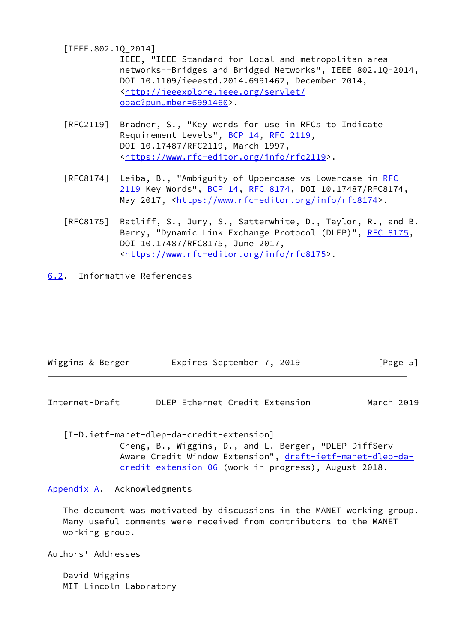<span id="page-5-4"></span>[IEEE.802.1Q\_2014]

 IEEE, "IEEE Standard for Local and metropolitan area networks--Bridges and Bridged Networks", IEEE 802.1Q-2014, DOI 10.1109/ieeestd.2014.6991462, December 2014, <[http://ieeexplore.ieee.org/servlet/](http://ieeexplore.ieee.org/servlet/opac?punumber=6991460) [opac?punumber=6991460>](http://ieeexplore.ieee.org/servlet/opac?punumber=6991460).

- [RFC2119] Bradner, S., "Key words for use in RFCs to Indicate Requirement Levels", [BCP 14](https://datatracker.ietf.org/doc/pdf/bcp14), [RFC 2119](https://datatracker.ietf.org/doc/pdf/rfc2119), DOI 10.17487/RFC2119, March 1997, <[https://www.rfc-editor.org/info/rfc2119>](https://www.rfc-editor.org/info/rfc2119).
- [RFC8174] Leiba, B., "Ambiguity of Uppercase vs Lowercase in [RFC](https://datatracker.ietf.org/doc/pdf/rfc2119) [2119](https://datatracker.ietf.org/doc/pdf/rfc2119) Key Words", [BCP 14](https://datatracker.ietf.org/doc/pdf/bcp14), [RFC 8174,](https://datatracker.ietf.org/doc/pdf/rfc8174) DOI 10.17487/RFC8174, May 2017, [<https://www.rfc-editor.org/info/rfc8174](https://www.rfc-editor.org/info/rfc8174)>.
- [RFC8175] Ratliff, S., Jury, S., Satterwhite, D., Taylor, R., and B. Berry, "Dynamic Link Exchange Protocol (DLEP)", [RFC 8175,](https://datatracker.ietf.org/doc/pdf/rfc8175) DOI 10.17487/RFC8175, June 2017, <[https://www.rfc-editor.org/info/rfc8175>](https://www.rfc-editor.org/info/rfc8175).
- <span id="page-5-0"></span>[6.2](#page-5-0). Informative References

| Wiggins & Berger | Expires September 7, 2019 |  | [Page 5] |
|------------------|---------------------------|--|----------|
|------------------|---------------------------|--|----------|

<span id="page-5-2"></span>Internet-Draft DLEP Ethernet Credit Extension March 2019

<span id="page-5-3"></span>[I-D.ietf-manet-dlep-da-credit-extension]

 Cheng, B., Wiggins, D., and L. Berger, "DLEP DiffServ Aware Credit Window Extension", [draft-ietf-manet-dlep-da](https://datatracker.ietf.org/doc/pdf/draft-ietf-manet-dlep-da-credit-extension-06) [credit-extension-06](https://datatracker.ietf.org/doc/pdf/draft-ietf-manet-dlep-da-credit-extension-06) (work in progress), August 2018.

<span id="page-5-1"></span>[Appendix A.](#page-5-1) Acknowledgments

 The document was motivated by discussions in the MANET working group. Many useful comments were received from contributors to the MANET working group.

Authors' Addresses

 David Wiggins MIT Lincoln Laboratory